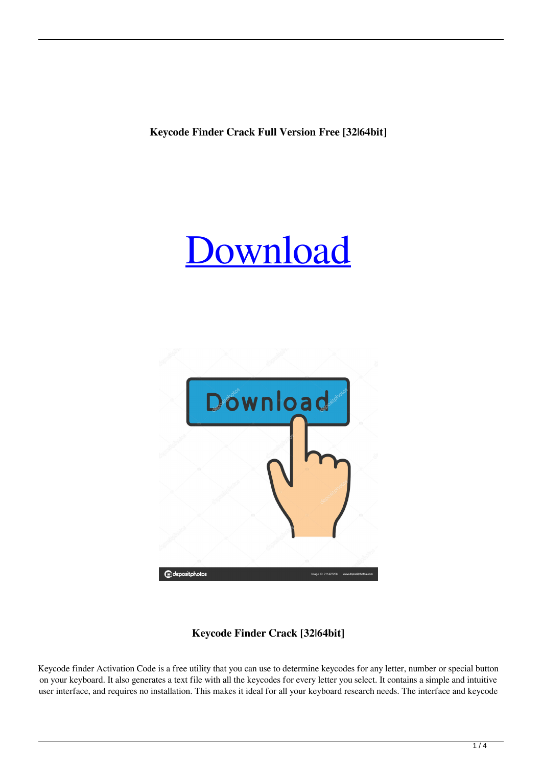**Keycode Finder Crack Full Version Free [32|64bit]**





# **Keycode Finder Crack [32|64bit]**

Keycode finder Activation Code is a free utility that you can use to determine keycodes for any letter, number or special button on your keyboard. It also generates a text file with all the keycodes for every letter you select. It contains a simple and intuitive user interface, and requires no installation. This makes it ideal for all your keyboard research needs. The interface and keycode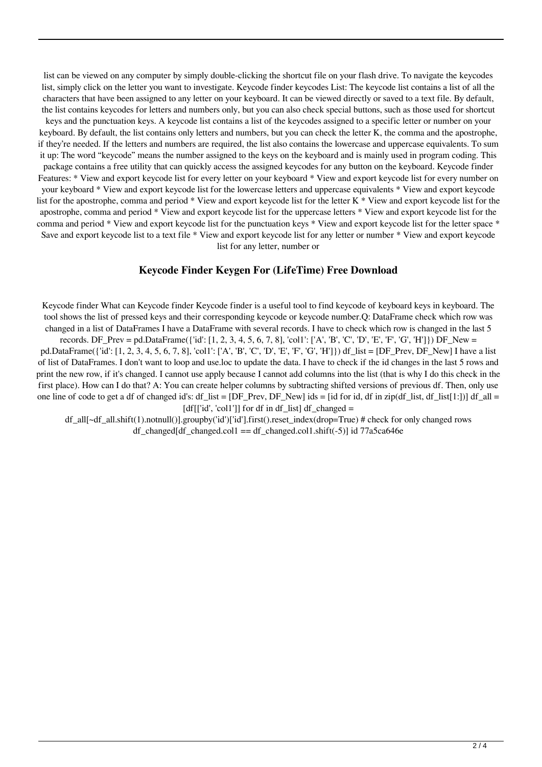list can be viewed on any computer by simply double-clicking the shortcut file on your flash drive. To navigate the keycodes list, simply click on the letter you want to investigate. Keycode finder keycodes List: The keycode list contains a list of all the characters that have been assigned to any letter on your keyboard. It can be viewed directly or saved to a text file. By default, the list contains keycodes for letters and numbers only, but you can also check special buttons, such as those used for shortcut keys and the punctuation keys. A keycode list contains a list of the keycodes assigned to a specific letter or number on your keyboard. By default, the list contains only letters and numbers, but you can check the letter K, the comma and the apostrophe, if they're needed. If the letters and numbers are required, the list also contains the lowercase and uppercase equivalents. To sum it up: The word "keycode" means the number assigned to the keys on the keyboard and is mainly used in program coding. This package contains a free utility that can quickly access the assigned keycodes for any button on the keyboard. Keycode finder Features: \* View and export keycode list for every letter on your keyboard \* View and export keycode list for every number on your keyboard \* View and export keycode list for the lowercase letters and uppercase equivalents \* View and export keycode list for the apostrophe, comma and period \* View and export keycode list for the letter K \* View and export keycode list for the apostrophe, comma and period \* View and export keycode list for the uppercase letters \* View and export keycode list for the comma and period \* View and export keycode list for the punctuation keys \* View and export keycode list for the letter space \* Save and export keycode list to a text file \* View and export keycode list for any letter or number \* View and export keycode list for any letter, number or

#### **Keycode Finder Keygen For (LifeTime) Free Download**

Keycode finder What can Keycode finder Keycode finder is a useful tool to find keycode of keyboard keys in keyboard. The tool shows the list of pressed keys and their corresponding keycode or keycode number.Q: DataFrame check which row was changed in a list of DataFrames I have a DataFrame with several records. I have to check which row is changed in the last 5 records. DF\_Prev = pd.DataFrame({'id':  $[1, 2, 3, 4, 5, 6, 7, 8]$ , 'col1':  $['A', B', 'C', 'D', 'E', 'F', 'G', 'H']$ }) DF\_New = pd.DataFrame({'id': [1, 2, 3, 4, 5, 6, 7, 8], 'col1': ['A', 'B', 'C', 'D', 'E', 'F', 'G', 'H']}) df\_list = [DF\_Prev, DF\_New] I have a list of list of DataFrames. I don't want to loop and use.loc to update the data. I have to check if the id changes in the last 5 rows and print the new row, if it's changed. I cannot use apply because I cannot add columns into the list (that is why I do this check in the first place). How can I do that? A: You can create helper columns by subtracting shifted versions of previous df. Then, only use one line of code to get a df of changed id's: df\_list = [DF\_Prev, DF\_New] ids = [id for id, df\_in zip(df\_list, df\_list[1:])] df\_all =  $[df[[id', 'col1']]$  for df in df\_list] df\_changed =

df\_all[~df\_all.shift(1).notnull()].groupby('id')['id'].first().reset\_index(drop=True) # check for only changed rows df changed[df changed.col1 == df changed.col1.shift(-5)] id 77a5ca646e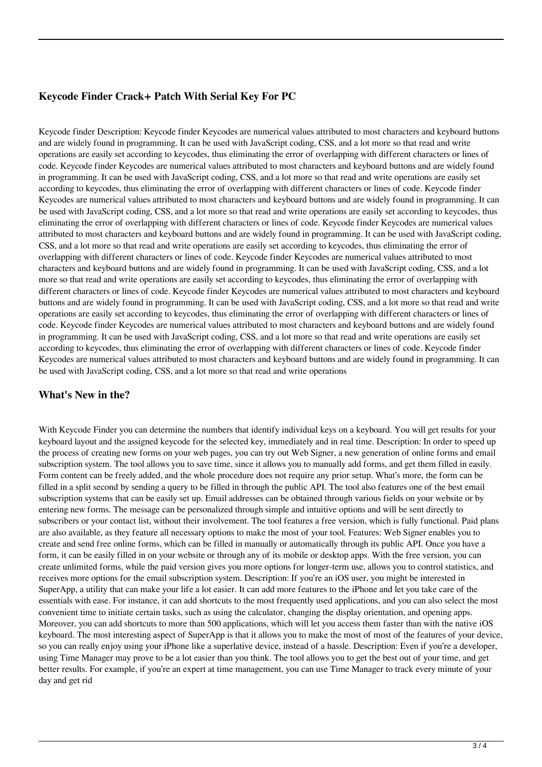## **Keycode Finder Crack+ Patch With Serial Key For PC**

Keycode finder Description: Keycode finder Keycodes are numerical values attributed to most characters and keyboard buttons and are widely found in programming. It can be used with JavaScript coding, CSS, and a lot more so that read and write operations are easily set according to keycodes, thus eliminating the error of overlapping with different characters or lines of code. Keycode finder Keycodes are numerical values attributed to most characters and keyboard buttons and are widely found in programming. It can be used with JavaScript coding, CSS, and a lot more so that read and write operations are easily set according to keycodes, thus eliminating the error of overlapping with different characters or lines of code. Keycode finder Keycodes are numerical values attributed to most characters and keyboard buttons and are widely found in programming. It can be used with JavaScript coding, CSS, and a lot more so that read and write operations are easily set according to keycodes, thus eliminating the error of overlapping with different characters or lines of code. Keycode finder Keycodes are numerical values attributed to most characters and keyboard buttons and are widely found in programming. It can be used with JavaScript coding, CSS, and a lot more so that read and write operations are easily set according to keycodes, thus eliminating the error of overlapping with different characters or lines of code. Keycode finder Keycodes are numerical values attributed to most characters and keyboard buttons and are widely found in programming. It can be used with JavaScript coding, CSS, and a lot more so that read and write operations are easily set according to keycodes, thus eliminating the error of overlapping with different characters or lines of code. Keycode finder Keycodes are numerical values attributed to most characters and keyboard buttons and are widely found in programming. It can be used with JavaScript coding, CSS, and a lot more so that read and write operations are easily set according to keycodes, thus eliminating the error of overlapping with different characters or lines of code. Keycode finder Keycodes are numerical values attributed to most characters and keyboard buttons and are widely found in programming. It can be used with JavaScript coding, CSS, and a lot more so that read and write operations are easily set according to keycodes, thus eliminating the error of overlapping with different characters or lines of code. Keycode finder Keycodes are numerical values attributed to most characters and keyboard buttons and are widely found in programming. It can be used with JavaScript coding, CSS, and a lot more so that read and write operations

#### **What's New in the?**

With Keycode Finder you can determine the numbers that identify individual keys on a keyboard. You will get results for your keyboard layout and the assigned keycode for the selected key, immediately and in real time. Description: In order to speed up the process of creating new forms on your web pages, you can try out Web Signer, a new generation of online forms and email subscription system. The tool allows you to save time, since it allows you to manually add forms, and get them filled in easily. Form content can be freely added, and the whole procedure does not require any prior setup. What's more, the form can be filled in a split second by sending a query to be filled in through the public API. The tool also features one of the best email subscription systems that can be easily set up. Email addresses can be obtained through various fields on your website or by entering new forms. The message can be personalized through simple and intuitive options and will be sent directly to subscribers or your contact list, without their involvement. The tool features a free version, which is fully functional. Paid plans are also available, as they feature all necessary options to make the most of your tool. Features: Web Signer enables you to create and send free online forms, which can be filled in manually or automatically through its public API. Once you have a form, it can be easily filled in on your website or through any of its mobile or desktop apps. With the free version, you can create unlimited forms, while the paid version gives you more options for longer-term use, allows you to control statistics, and receives more options for the email subscription system. Description: If you're an iOS user, you might be interested in SuperApp, a utility that can make your life a lot easier. It can add more features to the iPhone and let you take care of the essentials with ease. For instance, it can add shortcuts to the most frequently used applications, and you can also select the most convenient time to initiate certain tasks, such as using the calculator, changing the display orientation, and opening apps. Moreover, you can add shortcuts to more than 500 applications, which will let you access them faster than with the native iOS keyboard. The most interesting aspect of SuperApp is that it allows you to make the most of most of the features of your device, so you can really enjoy using your iPhone like a superlative device, instead of a hassle. Description: Even if you're a developer, using Time Manager may prove to be a lot easier than you think. The tool allows you to get the best out of your time, and get better results. For example, if you're an expert at time management, you can use Time Manager to track every minute of your day and get rid